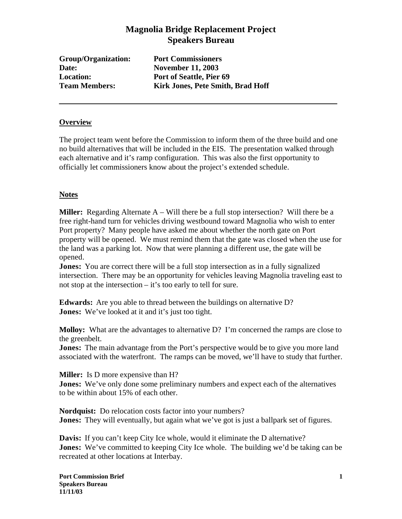# **Magnolia Bridge Replacement Project Speakers Bureau**

**Group/Organization: Port Commissioners Date: November 11, 2003**

**Location: Port of Seattle, Pier 69 Team Members: Kirk Jones, Pete Smith, Brad Hoff**

### **Overview**

The project team went before the Commission to inform them of the three build and one no build alternatives that will be included in the EIS. The presentation walked through each alternative and it's ramp configuration. This was also the first opportunity to officially let commissioners know about the project's extended schedule.

## **Notes**

**Miller:** Regarding Alternate A – Will there be a full stop intersection? Will there be a free right-hand turn for vehicles driving westbound toward Magnolia who wish to enter Port property? Many people have asked me about whether the north gate on Port property will be opened. We must remind them that the gate was closed when the use for the land was a parking lot. Now that were planning a different use, the gate will be opened.

**Jones:** You are correct there will be a full stop intersection as in a fully signalized intersection. There may be an opportunity for vehicles leaving Magnolia traveling east to not stop at the intersection – it's too early to tell for sure.

**Edwards:** Are you able to thread between the buildings on alternative D? **Jones:** We've looked at it and it's just too tight.

**Molloy:** What are the advantages to alternative D? I'm concerned the ramps are close to the greenbelt.

**Jones:** The main advantage from the Port's perspective would be to give you more land associated with the waterfront. The ramps can be moved, we'll have to study that further.

**Miller:** Is D more expensive than H? **Jones:** We've only done some preliminary numbers and expect each of the alternatives to be within about 15% of each other.

**Nordquist:** Do relocation costs factor into your numbers? **Jones:** They will eventually, but again what we've got is just a ballpark set of figures.

**Davis:** If you can't keep City Ice whole, would it eliminate the D alternative? **Jones:** We've committed to keeping City Ice whole. The building we'd be taking can be recreated at other locations at Interbay.